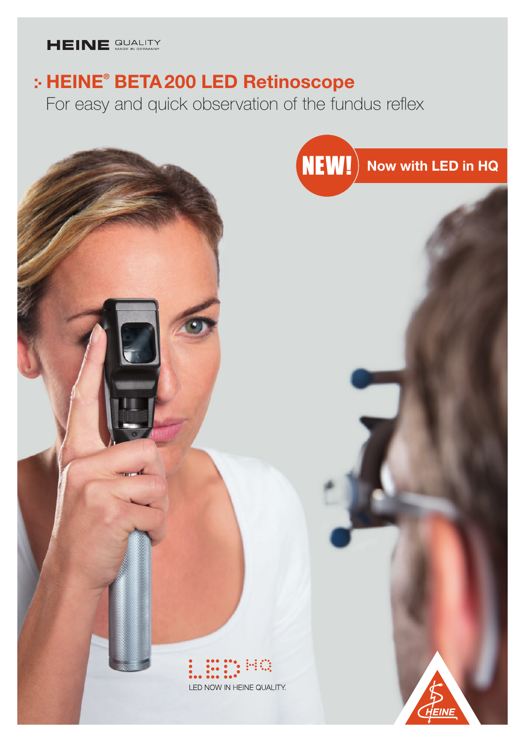## HEINE QUALITY

# HEINE® BETA200 LED Retinoscope

For easy and quick observation of the fundus reflex